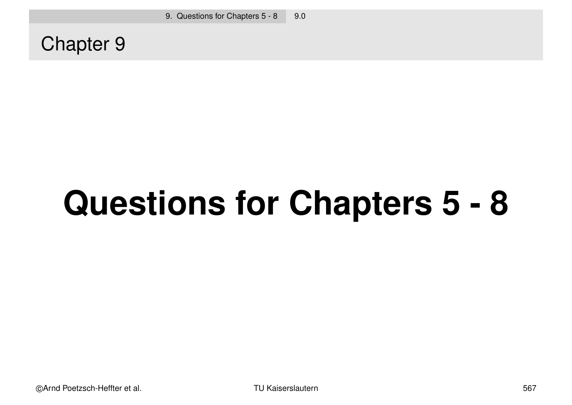Chapter 9

# **Questions for Chapters 5 - 8**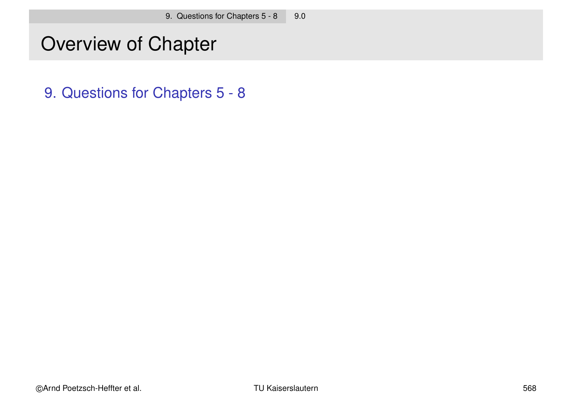#### Overview of Chapter

9. Questions for Chapters 5 - 8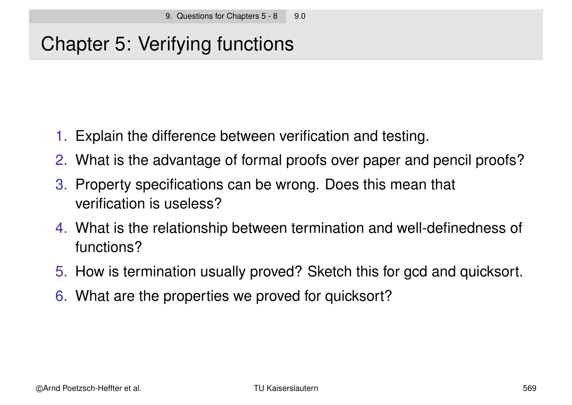### Chapter 5: Verifying functions

- 1. Explain the difference between verification and testing.
- 2. What is the advantage of formal proofs over paper and pencil proofs?
- 3. Property specifications can be wrong. Does this mean that verification is useless?
- 4. What is the relationship between termination and well-definedness of functions?
- 5. How is termination usually proved? Sketch this for gcd and quicksort.
- 6. What are the properties we proved for quicksort?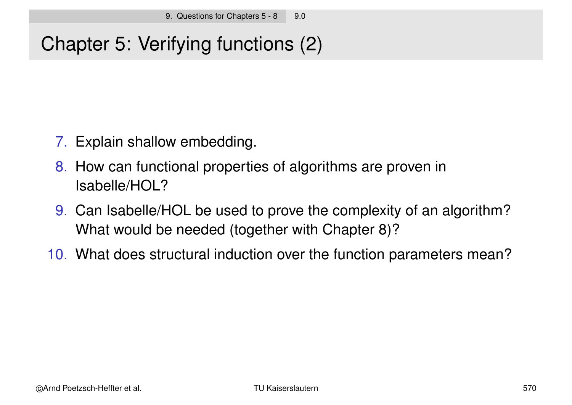## Chapter 5: Verifying functions (2)

- 7. Explain shallow embedding.
- 8. How can functional properties of algorithms are proven in Isabelle/HOL?
- 9. Can Isabelle/HOL be used to prove the complexity of an algorithm? What would be needed (together with Chapter 8)?
- 10. What does structural induction over the function parameters mean?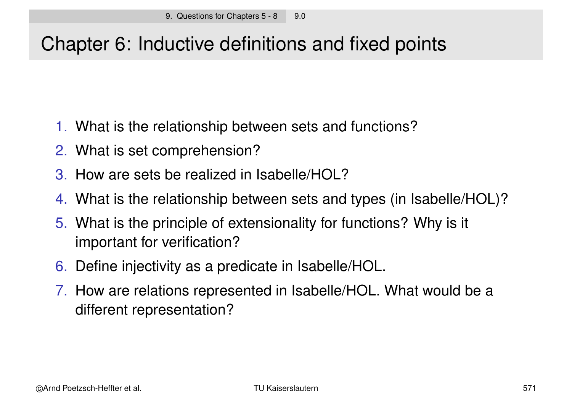#### Chapter 6: Inductive definitions and fixed points

- 1. What is the relationship between sets and functions?
- 2. What is set comprehension?
- 3. How are sets be realized in Isabelle/HOL?
- 4. What is the relationship between sets and types (in Isabelle/HOL)?
- 5. What is the principle of extensionality for functions? Why is it important for verification?
- 6. Define injectivity as a predicate in Isabelle/HOL.
- 7. How are relations represented in Isabelle/HOL. What would be a different representation?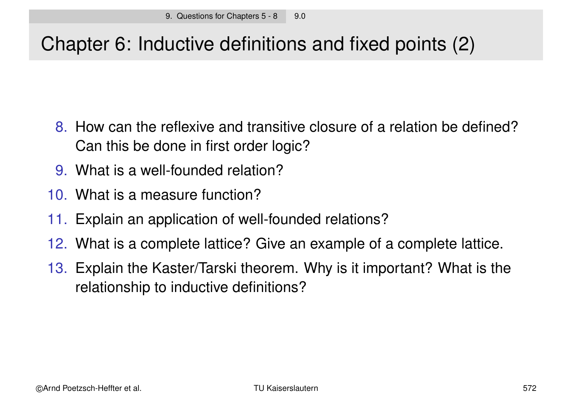## Chapter 6: Inductive definitions and fixed points (2)

- 8. How can the reflexive and transitive closure of a relation be defined? Can this be done in first order logic?
- 9. What is a well-founded relation?
- 10. What is a measure function?
- 11. Explain an application of well-founded relations?
- 12. What is a complete lattice? Give an example of a complete lattice.
- 13. Explain the Kaster/Tarski theorem. Why is it important? What is the relationship to inductive definitions?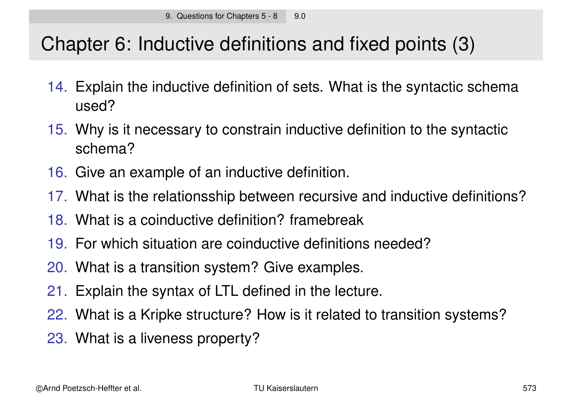### Chapter 6: Inductive definitions and fixed points (3)

- 14. Explain the inductive definition of sets. What is the syntactic schema used?
- 15. Why is it necessary to constrain inductive definition to the syntactic schema?
- 16. Give an example of an inductive definition.
- 17. What is the relationsship between recursive and inductive definitions?
- 18. What is a coinductive definition? framebreak
- 19. For which situation are coinductive definitions needed?
- 20. What is a transition system? Give examples.
- 21. Explain the syntax of LTL defined in the lecture.
- 22. What is a Kripke structure? How is it related to transition systems?
- 23. What is a liveness property?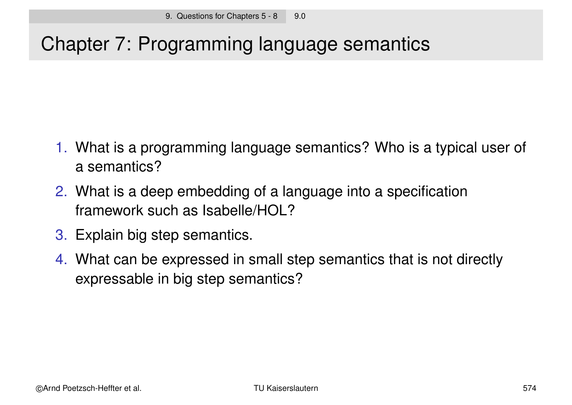### Chapter 7: Programming language semantics

- 1. What is a programming language semantics? Who is a typical user of a semantics?
- 2. What is a deep embedding of a language into a specification framework such as Isabelle/HOL?
- 3. Explain big step semantics.
- 4. What can be expressed in small step semantics that is not directly expressable in big step semantics?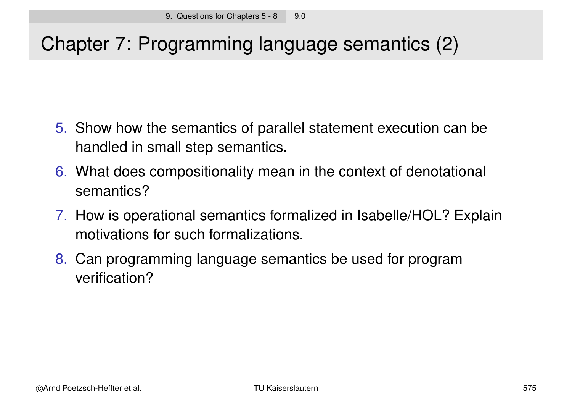# Chapter 7: Programming language semantics (2)

- 5. Show how the semantics of parallel statement execution can be handled in small step semantics.
- 6. What does compositionality mean in the context of denotational semantics?
- 7. How is operational semantics formalized in Isabelle/HOL? Explain motivations for such formalizations.
- 8. Can programming language semantics be used for program verification?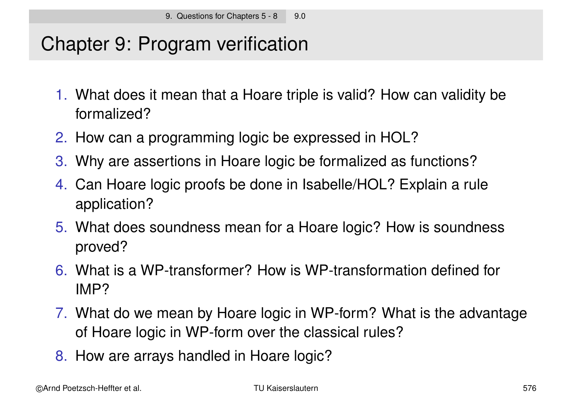#### Chapter 9: Program verification

- 1. What does it mean that a Hoare triple is valid? How can validity be formalized?
- 2. How can a programming logic be expressed in HOL?
- 3. Why are assertions in Hoare logic be formalized as functions?
- 4. Can Hoare logic proofs be done in Isabelle/HOL? Explain a rule application?
- 5. What does soundness mean for a Hoare logic? How is soundness proved?
- 6. What is a WP-transformer? How is WP-transformation defined for IMP?
- 7. What do we mean by Hoare logic in WP-form? What is the advantage of Hoare logic in WP-form over the classical rules?
- 8. How are arrays handled in Hoare logic?